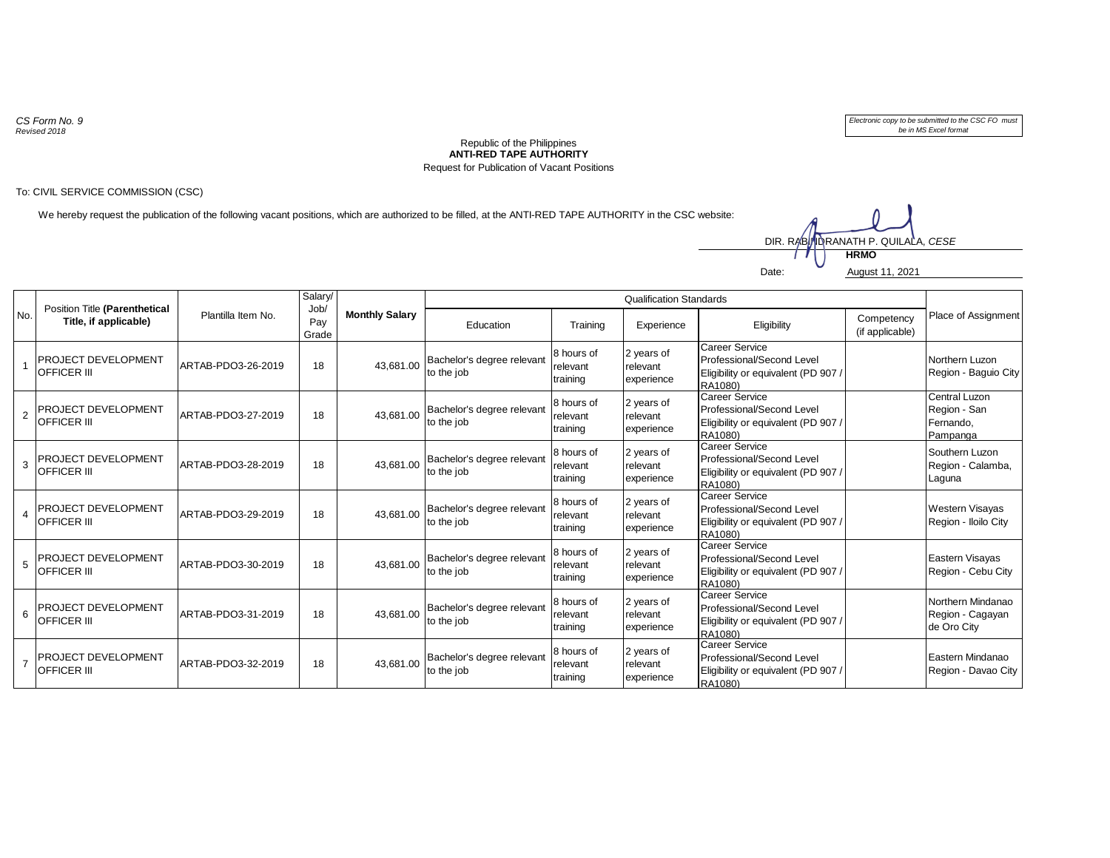*CS Form No. 9 Revised 2018*

*Electronic copy to be submitted to the CSC FO must be in MS Excel format*

## **ANTI-RED TAPE AUTHORITY** Republic of the Philippines Request for Publication of Vacant Positions

## To: CIVIL SERVICE COMMISSION (CSC)

We hereby request the publication of the following vacant positions, which are authorized to be filled, at the ANTI-RED TAPE AUTHORITY in the CSC website:



| No.            | Position Title (Parenthetical<br>Title, if applicable) | Plantilla Item No. | Salary/<br>Job/<br>Pay<br>Grade | <b>Monthly Salary</b> | <b>Qualification Standards</b>           |                                    |                                      |                                                                                                      |                               |                                                               |
|----------------|--------------------------------------------------------|--------------------|---------------------------------|-----------------------|------------------------------------------|------------------------------------|--------------------------------------|------------------------------------------------------------------------------------------------------|-------------------------------|---------------------------------------------------------------|
|                |                                                        |                    |                                 |                       | Education                                | Training                           | Experience                           | Eligibility                                                                                          | Competency<br>(if applicable) | Place of Assignment                                           |
|                | PROJECT DEVELOPMENT<br><b>OFFICER III</b>              | ARTAB-PDO3-26-2019 | 18                              | 43,681.00             | Bachelor's degree relevant<br>to the job | 8 hours of<br>relevant<br>training | 2 years of<br>relevant<br>experience | Career Service<br>Professional/Second Level<br>Eligibility or equivalent (PD 907)<br>RA1080)         |                               | Northern Luzon<br>Region - Baguio City                        |
| $\overline{2}$ | PROJECT DEVELOPMENT<br><b>OFFICER III</b>              | ARTAB-PDO3-27-2019 | 18                              | 43.681.00             | Bachelor's degree relevant<br>to the job | 8 hours of<br>relevant<br>training | 2 years of<br>relevant<br>experience | <b>Career Service</b><br>Professional/Second Level<br>Eligibility or equivalent (PD 907 /<br>RA1080) |                               | <b>Central Luzon</b><br>Region - San<br>Fernando,<br>Pampanga |
| 3              | <b>PROJECT DEVELOPMENT</b><br><b>OFFICER III</b>       | ARTAB-PDO3-28-2019 | 18                              | 43,681.00             | Bachelor's degree relevant<br>to the job | 8 hours of<br>relevant<br>training | 2 years of<br>relevant<br>experience | <b>Career Service</b><br>Professional/Second Level<br>Eligibility or equivalent (PD 907)<br>RA1080)  |                               | Southern Luzon<br>Region - Calamba,<br>Laguna                 |
| $\overline{4}$ | PROJECT DEVELOPMENT<br><b>OFFICER III</b>              | ARTAB-PDO3-29-2019 | 18                              | 43,681.00             | Bachelor's degree relevant<br>to the job | 8 hours of<br>relevant<br>training | 2 years of<br>relevant<br>experience | <b>Career Service</b><br>Professional/Second Level<br>Eligibility or equivalent (PD 907<br>RA1080)   |                               | <b>Western Visayas</b><br>Region - Iloilo City                |
| 5              | PROJECT DEVELOPMENT<br><b>OFFICER III</b>              | ARTAB-PDO3-30-2019 | 18                              | 43.681.00             | Bachelor's degree relevant<br>to the job | 8 hours of<br>relevant<br>training | 2 years of<br>relevant<br>experience | <b>Career Service</b><br>Professional/Second Level<br>Eligibility or equivalent (PD 907)<br>RA1080)  |                               | Eastern Visayas<br>Region - Cebu City                         |
| 6              | PROJECT DEVELOPMENT<br><b>OFFICER III</b>              | ARTAB-PDO3-31-2019 | 18                              | 43,681.00             | Bachelor's degree relevant<br>to the job | 8 hours of<br>relevant<br>training | 2 years of<br>relevant<br>experience | <b>Career Service</b><br>Professional/Second Level<br>Eligibility or equivalent (PD 907)<br>RA1080)  |                               | Northern Mindanao<br>Region - Cagayan<br>de Oro City          |
| $\overline{7}$ | <b>PROJECT DEVELOPMENT</b><br><b>OFFICER III</b>       | ARTAB-PDO3-32-2019 | 18                              | 43,681.00             | Bachelor's degree relevant<br>to the job | 8 hours of<br>relevant<br>training | 2 years of<br>relevant<br>experience | <b>Career Service</b><br>Professional/Second Level<br>Eligibility or equivalent (PD 907)<br>RA1080)  |                               | Eastern Mindanao<br>Region - Davao City                       |